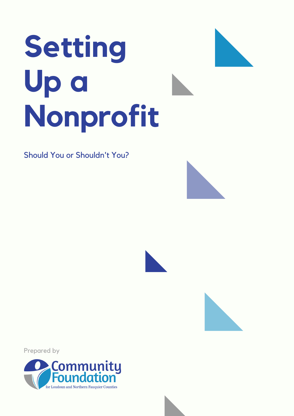# **Setting Up a Nonprofit**

Should You or Shouldn't You?







Prepared by

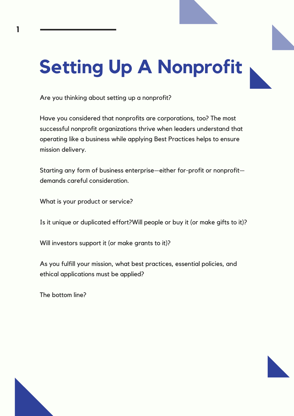## **Setting Up A Nonprofit**

Are you thinking about setting up a nonprofit?

Have you considered that nonprofits are corporations, too? The most successful nonprofit organizations thrive when leaders understand that operating like a business while applying Best Practices helps to ensure mission delivery.

Starting any form of business enterprise—either for-profit or nonprofit demands careful consideration.

What is your product or service?

Is it unique or duplicated effort?Will people or buy it (or make gifts to it)?

Will investors support it (or make grants to it)?

As you fulfill your mission, what best practices, essential policies, and ethical applications must be applied?

The bottom line?



**1**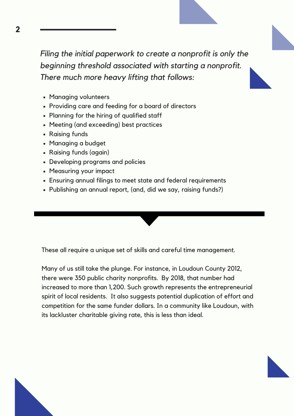*Filing the initial paperwork to create a nonprofit is only the beginning threshold associated with starting a nonprofit. There much more heavy lifting that follows:*

- Managing volunteers
- Providing care and feeding for a board of directors
- Planning for the hiring of qualified staff
- Meeting (and exceeding) best practices
- Raising funds
- Managing a budget
- Raising funds (again)
- Developing programs and policies
- Measuring your impact
- Ensuring annual filings to meet state and federal requirements
- Publishing an annual report, (and, did we say, raising funds?)

These all require a unique set of skills and careful time management.

Many of us still take the plunge. For instance, in Loudoun County 2012, there were 350 public charity nonprofits. By 2018, that number had increased to more than 1,200. Such growth represents the entrepreneurial spirit of local residents. It also suggests potential duplication of effort and competition for the same funder dollars. In a community like Loudoun, with its lackluster charitable giving rate, this is less than ideal.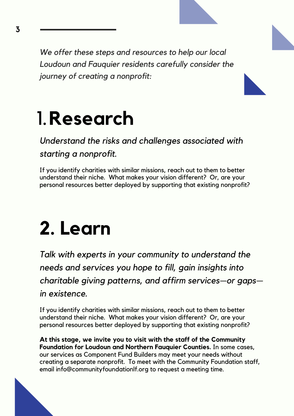*We offer these steps and resources to help our local Loudoun and Fauquier residents carefully consider the journey of creating a nonprofit:*

#### 1.**Research**

#### *Understand the risks and challenges associated with starting a nonprofit.*

If you identify charities with similar missions, reach out to them to better understand their niche. What makes your vision different? Or, are your personal resources better deployed by supporting that existing nonprofit?

#### **2. Learn**

*Talk with experts in your community to understand the needs and services you hope to fill, gain insights into charitable giving patterns, and affirm services—or gaps in existence.*

If you identify charities with similar missions, reach out to them to better understand their niche. What makes your vision different? Or, are your personal resources better deployed by supporting that existing nonprofit?

**At this stage, we invite you to visit with the staff of the Community Foundation for Loudoun and Northern Fauquier Counties.** In some cases, our services as Component Fund Builders may meet your needs without creating a separate nonprofit. To meet with the Community Foundation staff, email info@communityfoundationlf.org to request a meeting time.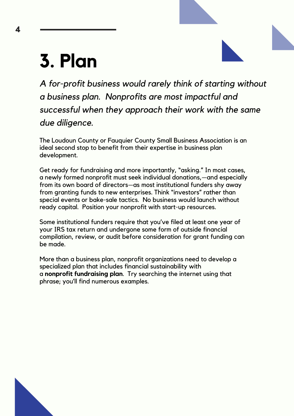#### **3. Plan**

*A for-profit business would rarely think of starting without a business plan. Nonprofits are most impactful and successful when they approach their work with the same due diligence.*

The Loudoun County or Fauquier County Small Business Association is an ideal second stop to benefit from their expertise in business plan development.

Get ready for fundraising and more importantly, "asking." In most cases, a newly formed nonprofit must seek individual donations,—and especially from its own board of directors—as most institutional funders shy away from granting funds to new enterprises. Think "investors" rather than special events or bake-sale tactics. No business would launch without ready capital. Position your nonprofit with start-up resources.

Some institutional funders require that you've filed at least one year of your IRS tax return and undergone some form of outside financial compilation, review, or audit before consideration for grant funding can be made.

More than a business plan, nonprofit organizations need to develop a specialized plan that includes financial sustainability with a **nonprofit fundraising plan**. Try searching the internet using that phrase; you'll find numerous examples.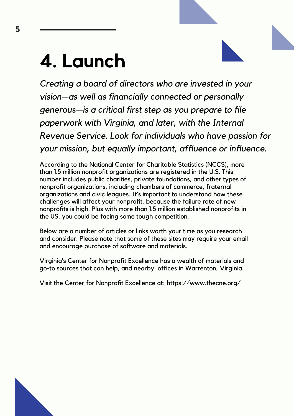#### **4. Launch**

*Creating a board of directors who are invested in your vision—as well as financially connected or personally generous—is a critical first step as you prepare to file paperwork with Virginia, and later, with the Internal Revenue Service. Look for individuals who have passion for your mission, but equally important, affluence or influence.*

According to the National Center for Charitable Statistics (NCCS), more than 1.5 million nonprofit organizations are registered in the U.S. This number includes public charities, private foundations, and other types of nonprofit organizations, including chambers of commerce, fraternal organizations and civic leagues. It's important to understand how these challenges will affect your nonprofit, because the failure rate of new nonprofits is high. Plus with more than 1.5 million established nonprofits in the US, you could be facing some tough competition.

Below are a number of articles or links worth your time as you research and consider. Please note that some of these sites may require your email and encourage purchase of software and materials.

Virginia's Center for Nonprofit Excellence has a wealth of materials and go-to sources that can help, and nearby offices in Warrenton, Virginia.

Visit the Center for Nonprofit Excellence at: https://www.thecne.org/

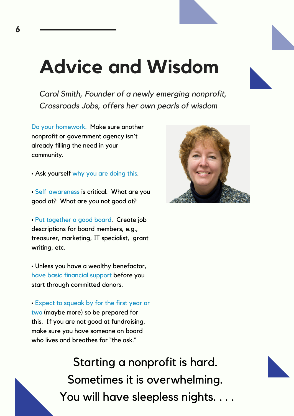#### **Advice and Wisdom**

*Carol Smith, Founder of a newly emerging nonprofit, Crossroads Jobs, offers her own pearls of wisdom*

Do your homework. Make sure another nonprofit or government agency isn't already filling the need in your community.

• Ask yourself why you are doing this.

• Self-awareness is critical. What are you good at? What are you not good at?

• Put together a good board. Create job descriptions for board members, e.g., treasurer, marketing, IT specialist, grant writing, etc.

• Unless you have a wealthy benefactor, have basic financial support before you start through committed donors.

• Expect to squeak by for the first year or two (maybe more) so be prepared for this. If you are not good at fundraising, make sure you have someone on board who lives and breathes for "the ask."



Starting a nonprofit is hard. Sometimes it is overwhelming. You will have sleepless nights. .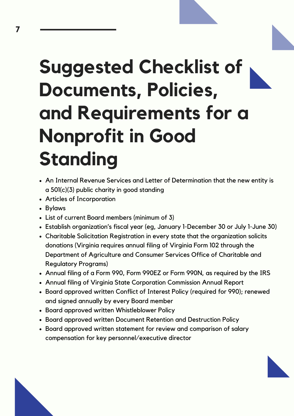### **Suggested Checklist of Documents, Policies, and Requirements for a Nonprofit in Good Standing**

- An Internal Revenue Services and Letter of Determination that the new entity is a 501(c)(3) public charity in good standing
- Articles of Incorporation
- Bylaws
- List of current Board members (minimum of 3)
- Establish organization's fiscal year (eg, January 1-December 30 or July 1-June 30)
- Charitable Solicitation Registration in every state that the organization solicits donations (Virginia requires annual filing of Virginia Form 102 through the Department of Agriculture and Consumer Services Office of Charitable and Regulatory Programs)
- Annual filing of a Form 990, Form 990EZ or Form 990N, as required by the IRS
- Annual filing of Virginia State Corporation Commission Annual Report
- Board approved written Conflict of Interest Policy (required for 990); renewed and signed annually by every Board member
- Board approved written Whistleblower Policy
- Board approved written Document Retention and Destruction Policy
- Board approved written statement for review and comparison of salary compensation for key personnel/executive director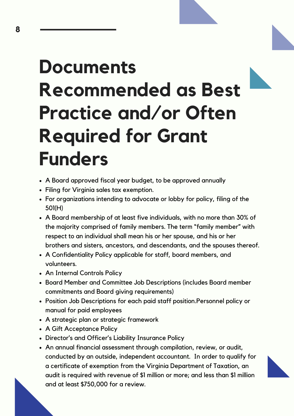#### **Documents Recommended as Best Practice and/or Often Required for Grant Funders**

- A Board approved fiscal year budget, to be approved annually
- Filing for Virginia sales tax exemption.
- For organizations intending to advocate or lobby for policy, filing of the 501(H)
- A Board membership of at least five individuals, with no more than 30% of the majority comprised of family members. The term "family member" with respect to an individual shall mean his or her spouse, and his or her brothers and sisters, ancestors, and descendants, and the spouses thereof.
- A Confidentiality Policy applicable for staff, board members, and volunteers.
- An Internal Controls Policy
- Board Member and Committee Job Descriptions (includes Board member commitments and Board giving requirements)
- Position Job Descriptions for each paid staff position.Personnel policy or manual for paid employees
- A strategic plan or strategic framework
- A Gift Acceptance Policy
- Director's and Officer's Liability Insurance Policy
- An annual financial assessment through compilation, review, or audit, conducted by an outside, independent accountant. In order to qualify for a certificate of exemption from the Virginia Department of Taxation, an audit is required with revenue of \$1 million or more; and less than \$1 million and at least \$750,000 for a review.